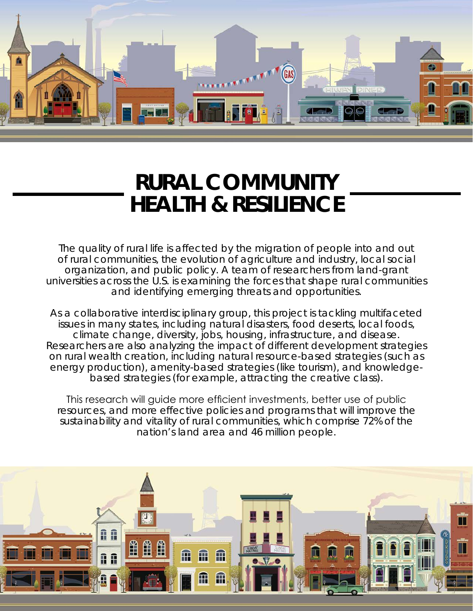

## **RURAL COMMUNITY HEALTH & RESILIENCE**

The quality of rural life is affected by the migration of people into and out of rural communities, the evolution of agriculture and industry, local social organization, and public policy. A team of researchers from land-grant universities across the U.S. is examining the forces that shape rural communities and identifying emerging threats and opportunities.

As a collaborative interdisciplinary group, this project is tackling multifaceted issues in many states, including natural disasters, food deserts, local foods, climate change, diversity, jobs, housing, infrastructure, and disease. Researchers are also analyzing the impact of different development strategies on rural wealth creation, including natural resource-based strategies (such as energy production), amenity-based strategies (like tourism), and knowledgebased strategies (for example, attracting the creative class).

This research will guide more efficient investments, better use of public resources, and more effective policies and programs that will improve the sustainability and vitality of rural communities, which comprise 72% of the nation's land area and 46 million people.